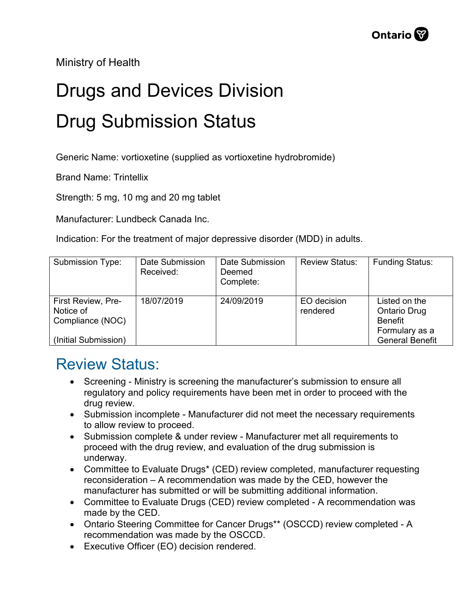Ministry of Health

## Drugs and Devices Division Drug Submission Status

Generic Name: vortioxetine (supplied as vortioxetine hydrobromide)

Brand Name: Trintellix

Strength: 5 mg, 10 mg and 20 mg tablet

Manufacturer: Lundbeck Canada Inc.

Indication: For the treatment of major depressive disorder (MDD) in adults.

| Submission Type:                                    | Date Submission<br>Received: | Date Submission<br>Deemed<br>Complete: | <b>Review Status:</b>   | <b>Funding Status:</b>                                                   |
|-----------------------------------------------------|------------------------------|----------------------------------------|-------------------------|--------------------------------------------------------------------------|
| First Review, Pre-<br>Notice of<br>Compliance (NOC) | 18/07/2019                   | 24/09/2019                             | EO decision<br>rendered | Listed on the<br><b>Ontario Drug</b><br><b>Benefit</b><br>Formulary as a |
| (Initial Submission)                                |                              |                                        |                         | <b>General Benefit</b>                                                   |

## Review Status:

- Screening Ministry is screening the manufacturer's submission to ensure all regulatory and policy requirements have been met in order to proceed with the drug review.
- Submission incomplete Manufacturer did not meet the necessary requirements to allow review to proceed.
- Submission complete & under review Manufacturer met all requirements to proceed with the drug review, and evaluation of the drug submission is underway.
- Committee to Evaluate Drugs\* (CED) review completed, manufacturer requesting reconsideration – A recommendation was made by the CED, however the manufacturer has submitted or will be submitting additional information.
- Committee to Evaluate Drugs (CED) review completed A recommendation was made by the CED.
- Ontario Steering Committee for Cancer Drugs\*\* (OSCCD) review completed A recommendation was made by the OSCCD.
- Executive Officer (EO) decision rendered.